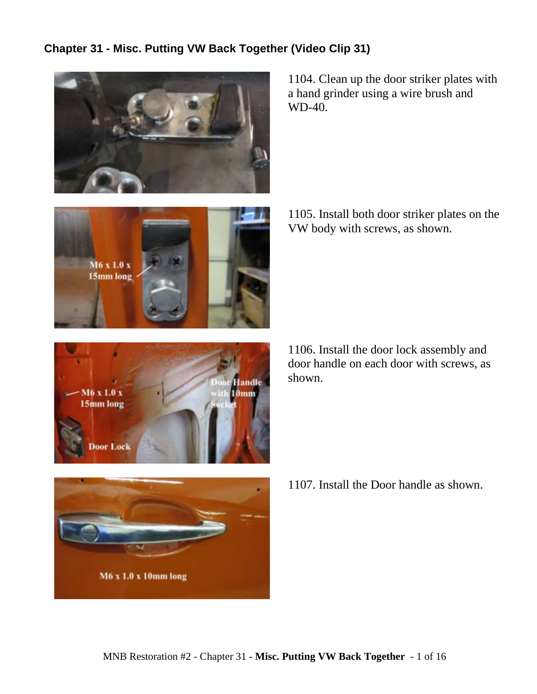## **Chapter 31 - Misc. Putting VW Back Together (Video Clip 31)**



 $M6 \times 1.0 \times$ 15mm long 1104. Clean up the door striker plates with a hand grinder using a wire brush and WD-40.

1105. Install both door striker plates on the VW body with screws, as shown.



1106. Install the door lock assembly and door handle on each door with screws, as shown.



1107. Install the Door handle as shown.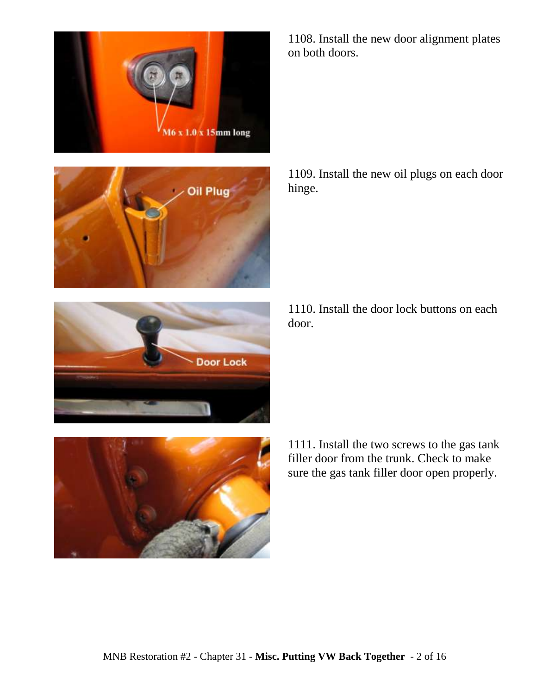



1108. Install the new door alignment plates on both doors.

1109. Install the new oil plugs on each door hinge.

1110. Install the door lock buttons on each door.



**Door Lock** 

1111. Install the two screws to the gas tank filler door from the trunk. Check to make sure the gas tank filler door open properly.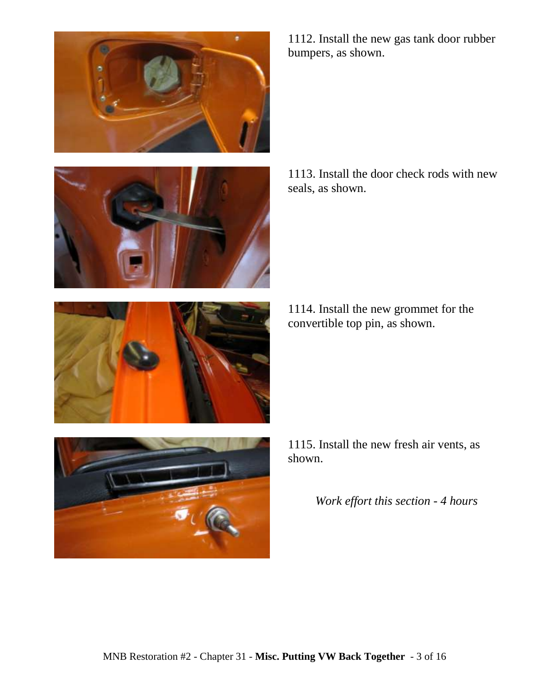



1112. Install the new gas tank door rubber bumpers, as shown.

1113. Install the door check rods with new seals, as shown.

1114. Install the new grommet for the convertible top pin, as shown.



1115. Install the new fresh air vents, as shown.

*Work effort this section - 4 hours*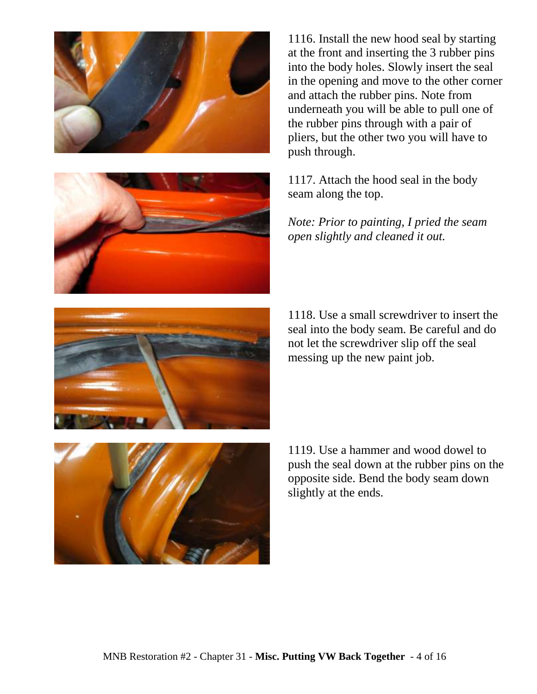



1116. Install the new hood seal by starting at the front and inserting the 3 rubber pins into the body holes. Slowly insert the seal in the opening and move to the other corner and attach the rubber pins. Note from underneath you will be able to pull one of the rubber pins through with a pair of pliers, but the other two you will have to push through.

1117. Attach the hood seal in the body seam along the top.

*Note: Prior to painting, I pried the seam open slightly and cleaned it out.*

1118. Use a small screwdriver to insert the seal into the body seam. Be careful and do not let the screwdriver slip off the seal messing up the new paint job.



1119. Use a hammer and wood dowel to push the seal down at the rubber pins on the opposite side. Bend the body seam down slightly at the ends.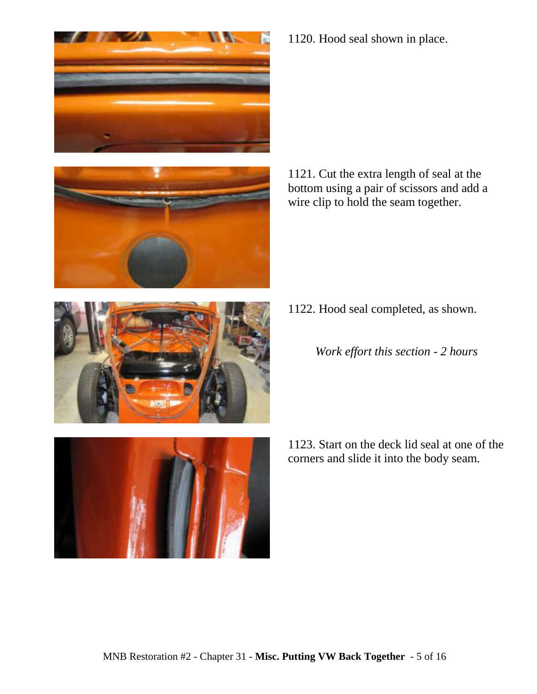



1120. Hood seal shown in place.

1121. Cut the extra length of seal at the bottom using a pair of scissors and add a wire clip to hold the seam together.

- 1122. Hood seal completed, as shown.
	- *Work effort this section - 2 hours*



1123. Start on the deck lid seal at one of the corners and slide it into the body seam.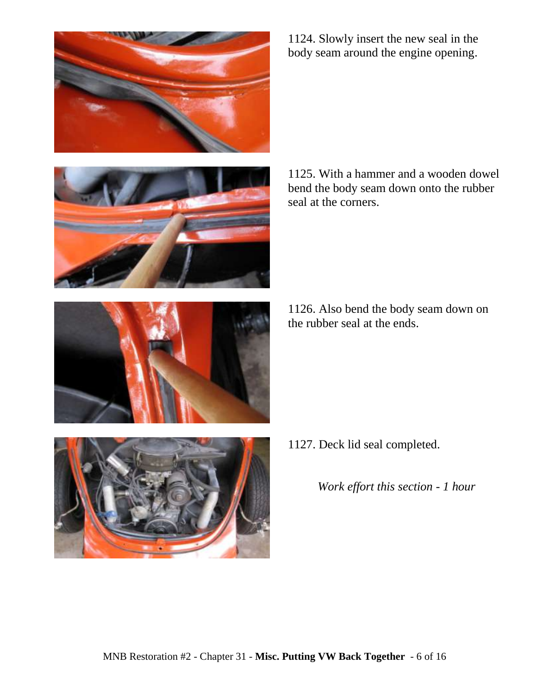





1124. Slowly insert the new seal in the body seam around the engine opening.

1125. With a hammer and a wooden dowel bend the body seam down onto the rubber seal at the corners.

1126. Also bend the body seam down on the rubber seal at the ends.

1127. Deck lid seal completed.

*Work effort this section - 1 hour*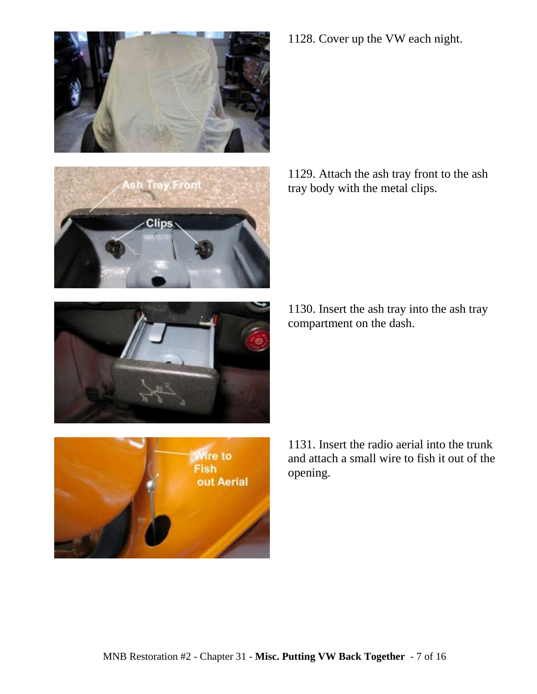





1129. Attach the ash tray front to the ash tray body with the metal clips.



1130. Insert the ash tray into the ash tray compartment on the dash.



1131. Insert the radio aerial into the trunk and attach a small wire to fish it out of the opening.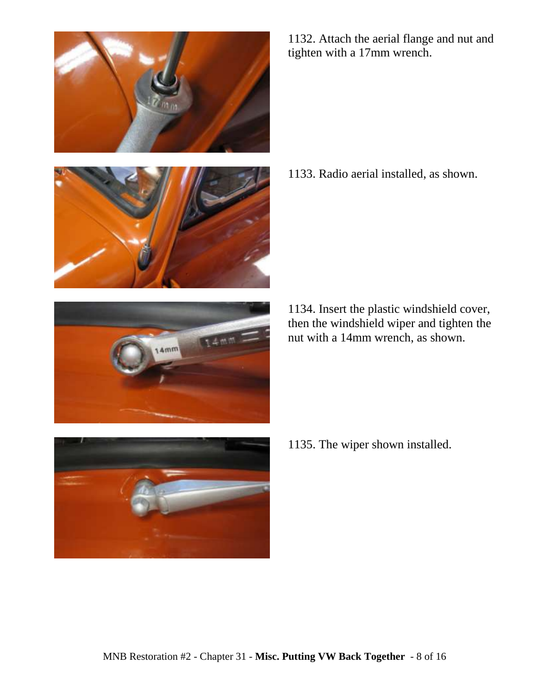





1132. Attach the aerial flange and nut and tighten with a 17mm wrench.

1133. Radio aerial installed, as shown.

1134. Insert the plastic windshield cover, then the windshield wiper and tighten the nut with a 14mm wrench, as shown.

1135. The wiper shown installed.

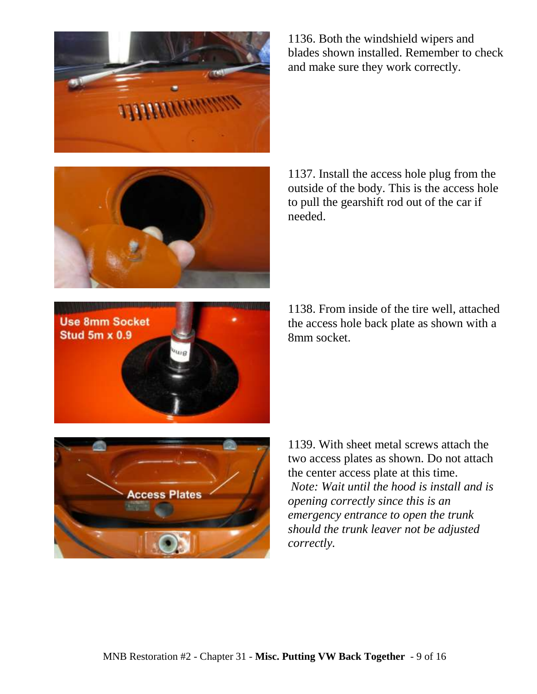

**Access Plates** 

**Use 8mm Socket Stud 5m x 0.9** 

1136. Both the windshield wipers and blades shown installed. Remember to check and make sure they work correctly.

1137. Install the access hole plug from the outside of the body. This is the access hole to pull the gearshift rod out of the car if needed.

1138. From inside of the tire well, attached the access hole back plate as shown with a 8mm socket.

two access plates as shown. Do not attach the center access plate at this time. *Note: Wait until the hood is install and is opening correctly since this is an emergency entrance to open the trunk should the trunk leaver not be adjusted correctly.*

1139. With sheet metal screws attach the

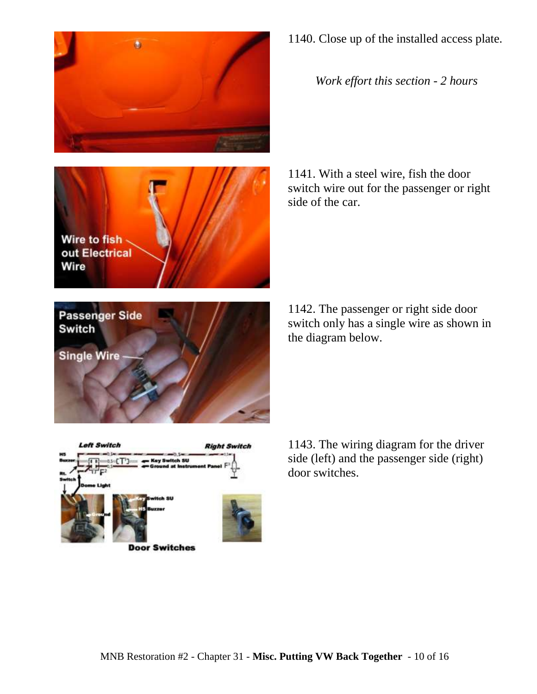





*Work effort this section - 2 hours*

1141. With a steel wire, fish the door switch wire out for the passenger or right side of the car.

1142. The passenger or right side door switch only has a single wire as shown in the diagram below.

**Single Wire** 

**Passenger Side** 

**Switch** 



**Door Switches** 

1143. The wiring diagram for the driver side (left) and the passenger side (right) door switches.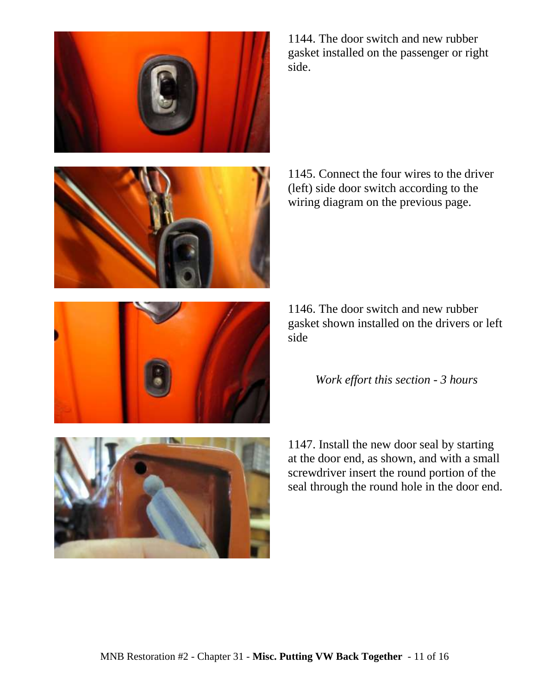





1144. The door switch and new rubber gasket installed on the passenger or right side.

1145. Connect the four wires to the driver (left) side door switch according to the wiring diagram on the previous page.

1146. The door switch and new rubber gasket shown installed on the drivers or left side

## *Work effort this section - 3 hours*

1147. Install the new door seal by starting at the door end, as shown, and with a small screwdriver insert the round portion of the seal through the round hole in the door end.

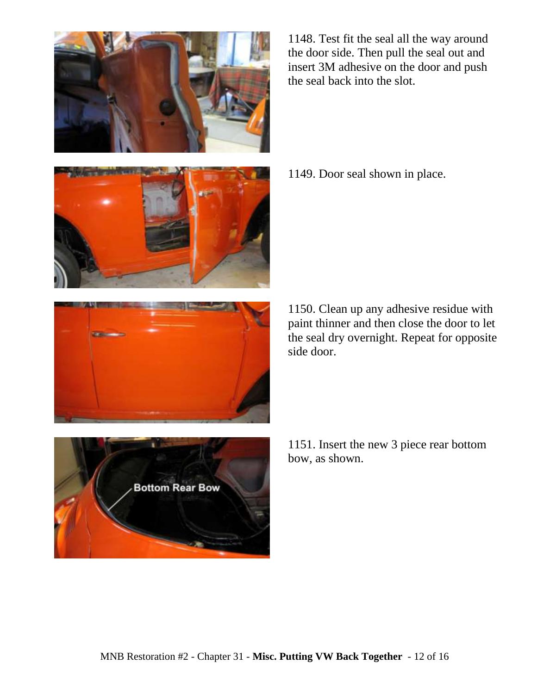1148. Test fit the seal all the way around the door side. Then pull the seal out and insert 3M adhesive on the door and push the seal back into the slot.

1149. Door seal shown in place.

1150. Clean up any adhesive residue with paint thinner and then close the door to let the seal dry overnight. Repeat for opposite side door.

1151. Insert the new 3 piece rear bottom bow, as shown.

## **Bottom Rear Bow**





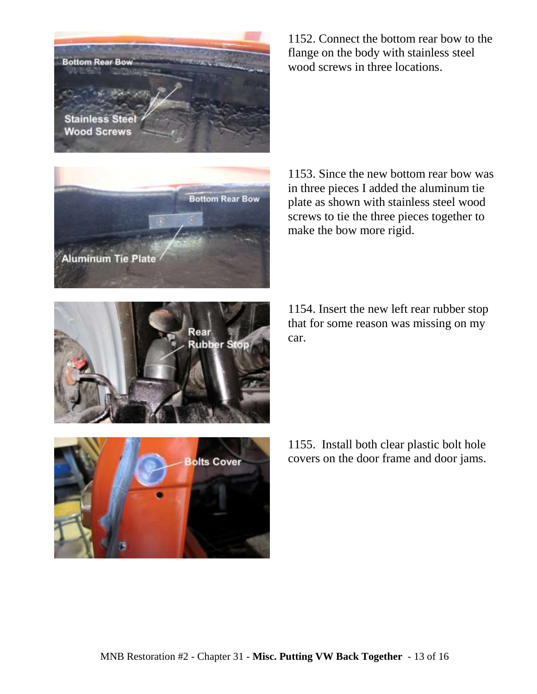



1152. Connect the bottom rear bow to the flange on the body with stainless steel wood screws in three locations.

1153. Since the new bottom rear bow was in three pieces I added the aluminum tie plate as shown with stainless steel wood screws to tie the three pieces together to make the bow more rigid.

1154. Insert the new left rear rubber stop that for some reason was missing on my car.



1155. Install both clear plastic bolt hole covers on the door frame and door jams.

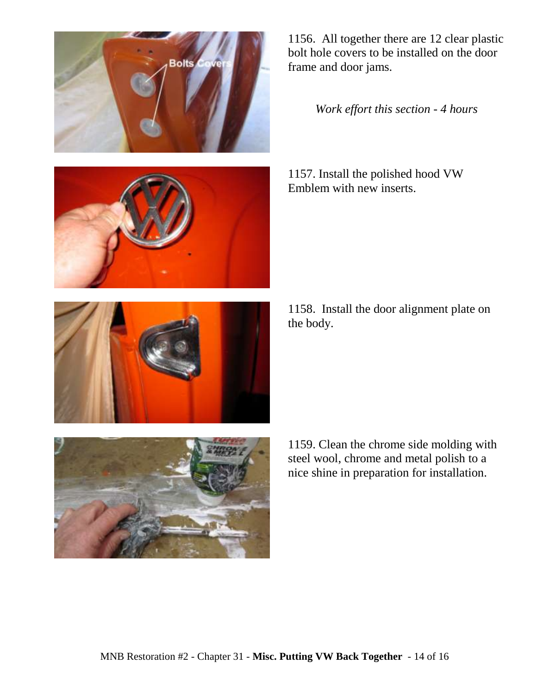



1156. All together there are 12 clear plastic bolt hole covers to be installed on the door frame and door jams.

*Work effort this section - 4 hours*

1157. Install the polished hood VW Emblem with new inserts.

1158. Install the door alignment plate on the body.



1159. Clean the chrome side molding with steel wool, chrome and metal polish to a nice shine in preparation for installation.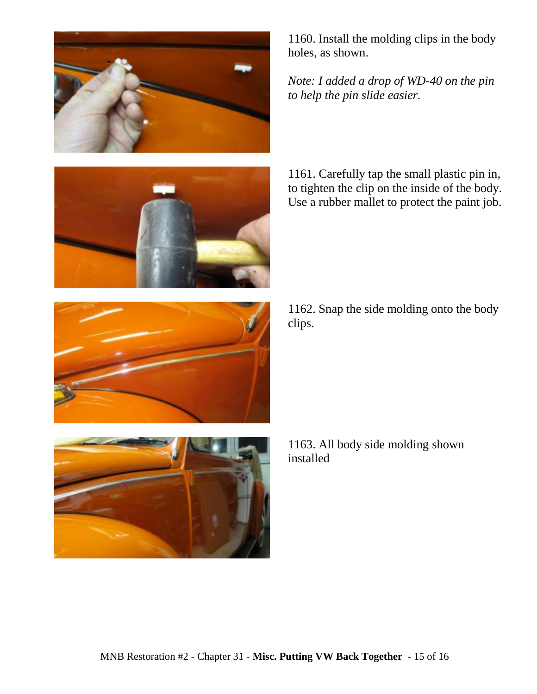



1160. Install the molding clips in the body holes, as shown.

*Note: I added a drop of WD-40 on the pin to help the pin slide easier.*

1161. Carefully tap the small plastic pin in, to tighten the clip on the inside of the body. Use a rubber mallet to protect the paint job.

1162. Snap the side molding onto the body clips.





1163. All body side molding shown installed